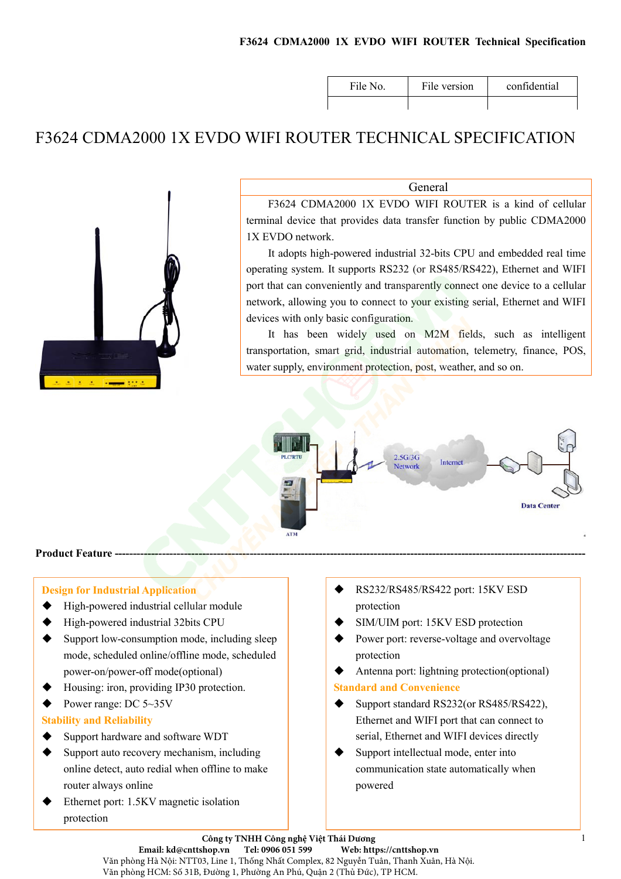## F3624 CDMA2000 1X EVDO WIFI ROUTER Technical Specification

| File No. | File version | confidential |
|----------|--------------|--------------|
|          |              |              |

# F3624 CDMA2000 1X EVDO WIFI ROUTER TECHNICAL SPECIFICATION



#### General

F3624 CDMA2000 1X EVDO WIFI ROUTER is a kind of cellular terminal device that provides data transfer function by public CDMA2000 1X EVDO network.

It adopts high-powered industrial 32-bits CPU and embedded real time operating system. It supports RS232 (or RS485/RS422), Ethernet and WIFI port that can conveniently and transparently connect one device to a cellular network, allowing you to connect to your existing serial, Ethernet and WIFI devices with only basic configuration.

It has been widely used on M2M fields, such as intelligent transportation, smart grid, industrial automation, telemetry, finance, POS, water supply, environment protection, post, weather, and so on.



#### Product Feature --

#### Design for Industrial Application

- High-powered industrial cellular module
- High-powered industrial 32bits CPU
- $\blacklozenge$  Support low-consumption mode, including sleep mode, scheduled online/offline mode, scheduled power-on/power-off mode(optional)
- Housing: iron, providing IP30 protection.
- $\blacklozenge$  Power range: DC 5~35V

#### Stability and Reliability

- Support hardware and software WDT
- Support auto recovery mechanism, including online detect, auto redial when offline to make router always online
- Ethernet port: 1.5KV magnetic isolation protection
- RS232/RS485/RS422 port: 15KV ESD protection
- SIM/UIM port: 15KV ESD protection
- Power port: reverse-voltage and overvoltage protection
- Antenna port: lightning protection(optional) Standard and Convenience
- Support standard RS232(or RS485/RS422), Ethernet and WIFI port that can connect to serial, Ethernet and WIFI devices directly
- Support intellectual mode, enter into communication state automatically when powered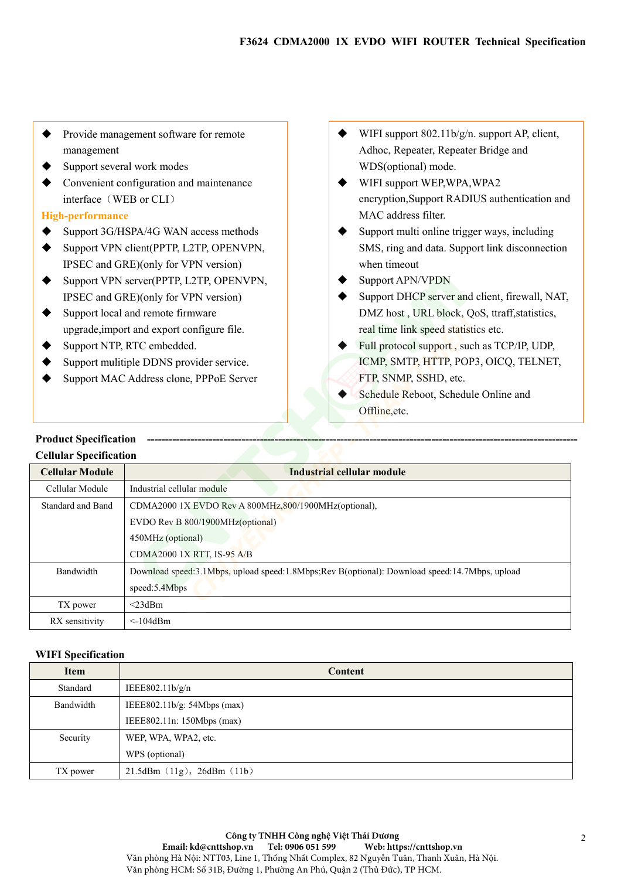- Provide management software for remote management
- Support several work modes
- **←** Convenient configuration and maintenance interface (WEB or CLI)

## High-performance

- ◆ Support 3G/HSPA/4G WAN access methods
- ◆ Support VPN client(PPTP, L2TP, OPENVPN, IPSEC and GRE)(only for VPN version)
- ◆ Support VPN server(PPTP, L2TP, OPENVPN, IPSEC and GRE)(only for VPN version)
- Support local and remote firmware upgrade,import and export configure file.
- ◆ Support NTP, RTC embedded.
- Support mulitiple DDNS provider service.
- Support MAC Address clone, PPPoE Server
- WIFI support 802.11b/g/n. support AP, client, Adhoc, Repeater, Repeater Bridge and WDS(optional) mode.
- WIFI support WEP, WPA, WPA2 encryption,Support RADIUS authentication and MAC address filter.
- Support multi online trigger ways, including SMS, ring and data. Support link disconnection when timeout
- Support APN/VPDN
- Support DHCP server and client, firewall, NAT, DMZ host , URL block, QoS, ttraff,statistics, real time link speed statistics etc.
- ◆ Full protocol support, such as TCP/IP, UDP, ICMP, SMTP, HTTP, POP3, OICQ, TELNET, FTP, SNMP, SSHD, etc.
- Schedule Reboot, Schedule Online and Offline etc.

## Product Specification

## Cellular Specification

| <b>Cellular Module</b>   | Industrial cellular module                                                                     |
|--------------------------|------------------------------------------------------------------------------------------------|
| Cellular Module          | Industrial cellular module                                                                     |
| <b>Standard and Band</b> | CDMA2000 1X EVDO Rev A 800MHz, 800/1900MHz (optional),                                         |
|                          | EVDO Rev B 800/1900MHz(optional)                                                               |
|                          | 450MHz (optional)                                                                              |
|                          | CDMA2000 1X RTT, IS-95 A/B                                                                     |
| Bandwidth                | Download speed:3.1Mbps, upload speed:1.8Mbps; Rev B(optional): Download speed:14.7Mbps, upload |
|                          | speed:5.4Mbps                                                                                  |
| TX power                 | $<$ 23dBm                                                                                      |
| RX sensitivity           | $\leq$ -104dBm                                                                                 |

#### WIFI Specification

| <b>Item</b> | <b>Content</b>                |
|-------------|-------------------------------|
| Standard    | IEEE $802.11b/g/n$            |
| Bandwidth   | IEEE802.11b/g: $54Mbps$ (max) |
|             | IEEE802.11n: 150Mbps (max)    |
| Security    | WEP, WPA, WPA2, etc.          |
|             | WPS (optional)                |
| TX power    | 21.5dBm (11g), 26dBm (11b)    |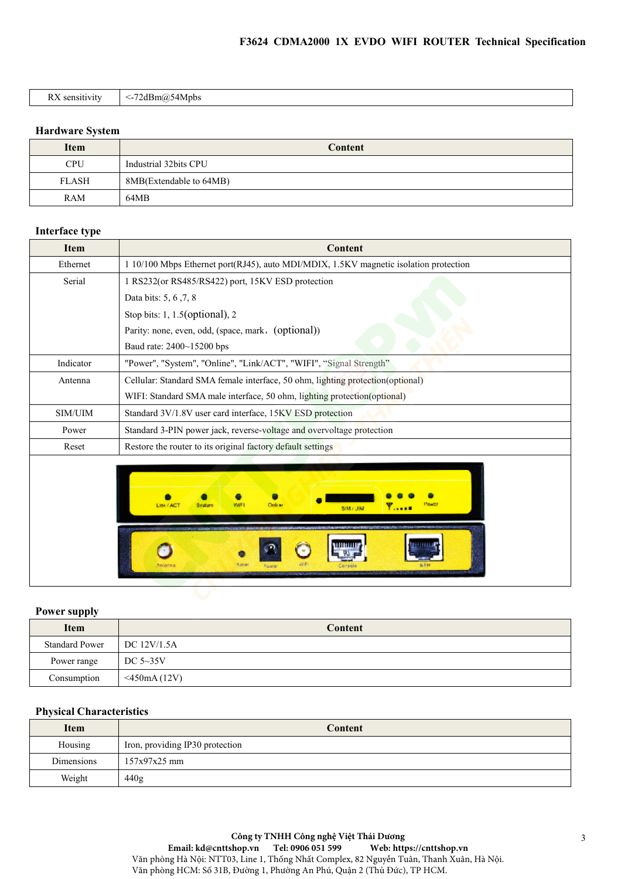| 1D<br>54Mpbs<br>sensitivity<br>abm<br>∼- ∘ |  |
|--------------------------------------------|--|
|                                            |  |

#### Hardware System

 $\sqrt{2}$ 

| <b>Item</b>  | <b>Content</b>          |
|--------------|-------------------------|
| <b>CPU</b>   | Industrial 32bits CPU   |
| <b>FLASH</b> | 8MB(Extendable to 64MB) |
| RAM          | 64MB                    |

#### Interface type

| <b>Item</b> | <b>Content</b>                                                                        |
|-------------|---------------------------------------------------------------------------------------|
| Ethernet    | 1 10/100 Mbps Ethernet port(RJ45), auto MDI/MDIX, 1.5KV magnetic isolation protection |
| Serial      | 1 RS232(or RS485/RS422) port, 15KV ESD protection                                     |
|             | Data bits: 5, 6, 7, 8                                                                 |
|             | Stop bits: $1, 1.5$ (optional), $2$                                                   |
|             | Parity: none, even, odd, (space, mark, (optional))                                    |
|             | Baud rate: 2400~15200 bps                                                             |
| Indicator   | "Power", "System", "Online", "Link/ACT", "WIFI", "Signal Strength"                    |
| Antenna     | Cellular: Standard SMA female interface, 50 ohm, lighting protection(optional)        |
|             | WIFI: Standard SMA male interface, 50 ohm, lighting protection(optional)              |
| SIM/UIM     | Standard 3V/1.8V user card interface, 15KV ESD protection                             |
| Power       | Standard 3-PIN power jack, reverse-voltage and overvoltage protection                 |
| Reset       | Restore the router to its original factory default settings                           |
|             | Power<br>Ouli e<br><b>Ink / ACT</b><br>SIM) UIM<br>Rose<br>Motorin                    |

#### Power supply

| <b>Item</b>           | Content         |
|-----------------------|-----------------|
| <b>Standard Power</b> | DC 12V/1.5A     |
| Power range           | DC $5\sim35V$   |
| Consumption           | $<$ 450mA (12V) |

## Physical Characteristics

| <b>Item</b> | Content                         |
|-------------|---------------------------------|
| Housing     | Iron, providing IP30 protection |
| Dimensions  | $157x97x25$ mm                  |
| Weight      | 440g                            |